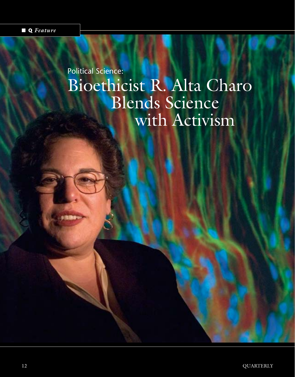## Political Science: Bioethicist R. Alta Charo Blends Science with Activism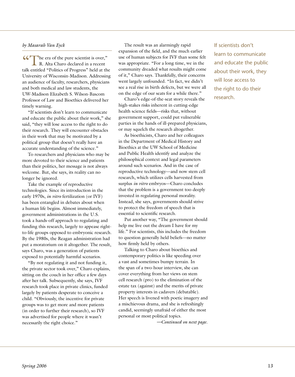## *by Masarah Van Eyck*

"The era of the pure scientist is over," R. Alta Charo declared in a recent talk entitled "Politics of Progress" held at the University of Wisconsin-Madison. Addressing an audience of faculty, researchers, physicians and both medical and law students, the UW-Madison Elizabeth S. Wilson-Bascom Professor of Law and Bioethics delivered her timely warning.

"If scientists don't learn to communicate and educate the public about their work," she said, "they will lose access to the right to do their research. They will encounter obstacles in their work that may be motivated by a political group that doesn't really have an accurate understanding of the science."

To researchers and physicians who may be more devoted to their science and patients than their politics, her message is not always welcome. But, she says, its reality can no longer be ignored.

Take the example of reproductive technologies. Since its introduction in the early 1970s, *in vitro* fertilization (or IVF) has been entangled in debates about when a human life begins. Almost immediately, government administrations in the U.S. took a hands-off approach to regulating and funding this research, largely to appease rightto-life groups opposed to embryonic research. By the 1980s, the Reagan administration had put a moratorium on it altogether. The result, says Charo, was a generation of patients exposed to potentially harmful scenarios.

"By not regulating it and not funding it, the private sector took over," Charo explains, sitting on the couch in her office a few days after her talk. Subsequently, she says, IVF research took place in private clinics, funded largely by patients desperate to conceive a child. "Obviously, the incentive for private groups was to get more and more patients (in order to further their research), so IVF was advertised for people where it wasn't necessarily the right choice."

The result was an alarmingly rapid expansion of the field, and the much earlier use of human subjects for IVF than some felt was appropriate. "For a long time, we in the community dreaded what results might come of it," Charo says. Thankfully, their concerns went largely unfounded. "In fact, we didn't see a real rise in birth defects, but we were all on the edge of our seats for a while there."

Charo's edge-of-the-seat story reveals the high-stakes risks inherent in cutting-edge health science fields—risks that, without government support, could put vulnerable parties in the hands of ill-prepared physicians, or may squelch the research altogether.

As bioethicists, Charo and her colleagues in the Department of Medical History and Bioethics at the UW School of Medicine and Public Health identify and analyze the philosophical context and legal parameters around such scenarios. And in the case of reproductive technology—and now stem cell research, which utilizes cells harvested from surplus *in vitro* embryos—Charo concludes that the problem is a government too deeply invested in regulating personal morality. Instead, she says, governments should strive to protect the freedom of speech that is essential to scientific research.

Put another way, "The government should help me live out the dream I have for my life." For scientists, this includes the freedom to question generally held beliefs—no matter how firmly held by others.

Talking to Charo about bioethics and contemporary politics is like speeding over a vast and sometimes bumpy terrain. In the span of a two-hour interview, she can cover everything from her views on stem cell research (pro) to the elimination of the estate tax (against) and the merits of private property interests in cadavers (debatable). Her speech is livened with poetic imagery and a mischievous drama, and she is refreshingly candid, seemingly unafraid of either the most personal or most political topics.

*—Continued on next page.*

If scientists don't learn to communicate and educate the public about their work, they will lose access to the right to do their research.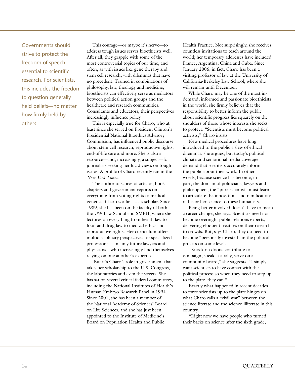Governments should strive to protect the freedom of speech essential to scientific research. For scientists, this includes the freedon to question generally held beliefs—no matter how firmly held by others.

This courage—or maybe it's nerve—to address tough issues serves bioethicists well. After all, they grapple with some of the most controversial topics of our time, and often, as with issues like gene therapy and stem cell research, with dilemmas that have no precedent. Trained in combinations of philosophy, law, theology and medicine, bioethicists can effectively serve as mediators between political action groups and the healthcare and research communities. Consultants and educators, their perspectives increasingly influence policy.

This is especially true for Charo, who at least since she served on President Clinton's Presidential National Bioethics Advisory Commission, has influenced public discourse about stem cell research, reproductive rights, end-of-life care and more. She is also a resource—and, increasingly, a subject—for journalists seeking her lucid views on tough issues. A profile of Charo recently ran in the *New York Times*.

The author of scores of articles, book chapters and government reports on everything from voting rights to medical genetics, Charo is a first-class scholar. Since 1989, she has been on the faculty of both the UW Law School and SMPH, where she lectures on everything from health law to food and drug law to medical ethics and reproductive rights. Her curriculum offers multidisciplinary perspectives for specialized professionals—mainly future lawyers and physicians—who increasingly find themselves relying on one another's expertise.

 But it's Charo's role in government that takes her scholarship to the U.S. Congress, the laboratories and even the streets. She has sat on several critical federal committees, including the National Institutes of Health's Human Embryo Research Panel in 1994. Since 2001, she has been a member of the National Academy of Sciences' Board on Life Sciences, and she has just been appointed to the Institute of Medicine's Board on Population Health and Public

Health Practice. Not surprisingly, she receives countless invitations to teach around the world; her temporary addresses have included France, Argentina, China and Cuba. Since January 2006, in fact, Charo has been a visiting professor of law at the University of California-Berkeley Law School, where she will remain until December.

While Charo may be one of the most indemand, informed and passionate bioethicists in the world, she firmly believes that the responsibility to better inform the public about scientific progress lies squarely on the shoulders of those whose interests she seeks to protect. "Scientists must become political activists," Charo insists.

New medical procedures have long introduced to the public a slew of ethical dilemmas, she argues, but today's political climate and sensational media coverage demand that scientists accurately inform the public about their work. In other words, because science has become, in part, the domain of politicians, lawyers and philosophers, the "pure scientist" must learn to articulate the innovations and ramifications of his or her science to these humanists.

Being better involved doesn't have to mean a career change, she says. Scientists need not become overnight public relations experts, delivering eloquent treatises on their research to crowds. But, says Charo, they do need to become "personally invested" in the political process on some level.

"Knock on doors, contribute to a campaign, speak at a rally, serve on a community board," she suggests. "I simply want scientists to have contact with the political process so when they need to step up to the plate, they can."

Exactly what happened in recent decades to force scientists up to the plate hinges on what Charo calls a "civil war" between the science-literate and the science-illiterate in this country.

"Right now we have people who turned their backs on science after the sixth grade,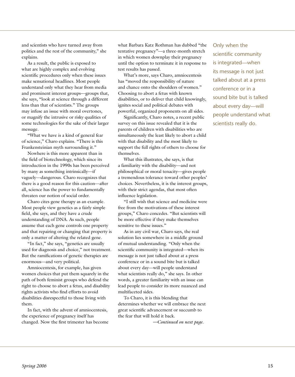and scientists who have turned away from politics and the rest of the community," she explains.

As a result, the public is exposed to what are highly complex and evolving scientific procedures only when these issues make sensational headlines. Most people understand only what they hear from media and prominent interest groups—groups that, she says, "look at science through a different lens than that of scientists." The groups may infuse an issue with moral overtones, or magnify the intrusive or risky qualities of some technologies for the sake of their larger message.

"What we have is a kind of general fear of science," Charo explains. "There is this Frankensteinian myth surrounding it."

Nowhere is this more apparent than in the field of biotechnology, which since its introduction in the 1990s has been perceived by many as something intrinsically—if vaguely—dangerous. Charo recognizes that there is a good reason for this caution—after all, science has the power to fundamentally threaten our notion of social order.

Charo cites gene therapy as an example. Most people view genetics as a fairly simple field, she says, and they have a crude understanding of DNA. As such, people assume that each gene controls one property and that repairing or changing that property is only a matter of altering the related gene.

"In fact," she says, "genetics are usually used for diagnosis and choice," not treatment. But the ramifications of genetic therapies are enormous—and very political.

Amniocentesis, for example, has given women choices that put them squarely in the path of both feminist groups who defend the right to choose to abort a fetus, and disability rights activists who find efforts to avoid disabilities disrespectful to those living with them.

In fact, with the advent of amniocentesis, the experience of pregnancy itself has changed. Now the first trimester has become what Barbara Katz Rothman has dubbed "the tentative pregnancy"—a three-month stretch in which women downplay their pregnancy until the option to terminate it in response to test results has passed.

What's more, says Charo, amniocentesis has "moved the responsibility of nature and chance onto the shoulders of women." Choosing to abort a fetus with known disabilities, or to deliver that child knowingly, ignites social and political debates with powerful, organized proponents on all sides.

Significantly, Charo notes, a recent public survey on this issue revealed that it is the parents of children with disabilities who are simultaneously the least likely to abort a child with that disability and the most likely to support the full rights of others to choose for themselves.

What this illustrates, she says, is that a familiarity with the disability—and not philosophical or moral tenacity—gives people a tremendous tolerance toward other peoples' choices. Nevertheless, it is the interest groups, with their strict agendas, that most often influence legislation.

"I still wish that science and medicine were free from the motivations of these interest groups," Charo concedes. "But scientists will be more effective if they make themselves sensitive to these issues."

As in any civil war, Charo says, the real solution lies somewhere in a middle ground of mutual understanding. "Only when the scientific community is integrated—when its message is not just talked about at a press conference or in a sound bite but is talked about every day—will people understand what scientists really do," she says. In other words, a greater familiarity with an issue can lead people to consider its more nuanced and multifaceted sides.

To Charo, it is this blending that determines whether we will embrace the next great scientific advancement or succumb to the fear that will hold it back.

*—Continued on next page.*

Only when the scientific community is integrated—when its message is not just talked about at a press conference or in a sound bite but is talked about every day—will people understand what scientists really do.